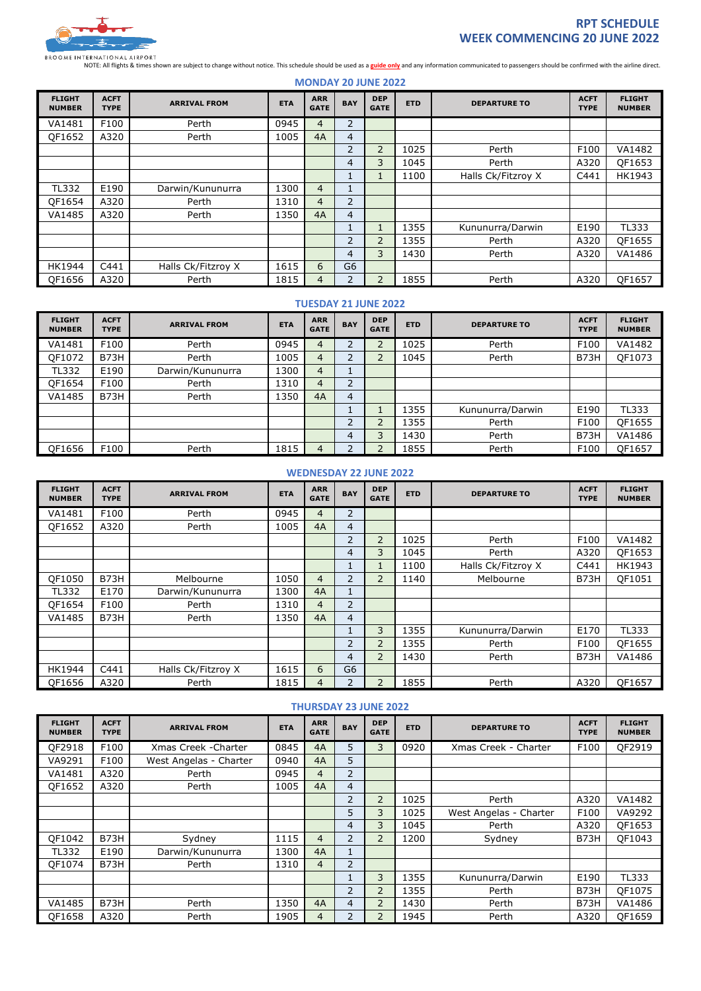

# **RPT SCHEDULE WEEK COMMENCING 20 JUNE 2022**

NOTE: All flights & times shown are subject to change without notice. This schedule should be used as a **guide only** and any information communicated to passengers should be confirmed with the airline direct.

**MONDAY 20 JUNE 2022**

| <b>FLIGHT</b><br><b>NUMBER</b> | <b>ACFT</b><br><b>TYPE</b> | <b>ARRIVAL FROM</b> | <b>ETA</b> | <b>ARR</b><br><b>GATE</b> | <b>BAY</b>     | <b>DEP</b><br><b>GATE</b> | <b>ETD</b> | <b>DEPARTURE TO</b> | <b>ACFT</b><br><b>TYPE</b> | <b>FLIGHT</b><br><b>NUMBER</b> |
|--------------------------------|----------------------------|---------------------|------------|---------------------------|----------------|---------------------------|------------|---------------------|----------------------------|--------------------------------|
| VA1481                         | F100                       | Perth               | 0945       | 4                         | 2              |                           |            |                     |                            |                                |
| OF1652                         | A320                       | Perth               | 1005       | 4A                        | $\overline{4}$ |                           |            |                     |                            |                                |
|                                |                            |                     |            |                           | $\overline{2}$ | $\overline{2}$            | 1025       | Perth               | F100                       | VA1482                         |
|                                |                            |                     |            |                           | 4              | 3                         | 1045       | Perth               | A320                       | OF1653                         |
|                                |                            |                     |            |                           | Ŧ.             | $\mathbf{1}$              | 1100       | Halls Ck/Fitzroy X  | C441                       | HK1943                         |
| <b>TL332</b>                   | E190                       | Darwin/Kununurra    | 1300       | 4                         | 1              |                           |            |                     |                            |                                |
| OF1654                         | A320                       | Perth               | 1310       | 4                         | $\overline{2}$ |                           |            |                     |                            |                                |
| VA1485                         | A320                       | Perth               | 1350       | 4A                        | $\overline{4}$ |                           |            |                     |                            |                                |
|                                |                            |                     |            |                           |                |                           | 1355       | Kununurra/Darwin    | E190                       | TL333                          |
|                                |                            |                     |            |                           | $\overline{2}$ | $\overline{2}$            | 1355       | Perth               | A320                       | OF1655                         |
|                                |                            |                     |            |                           | $\overline{4}$ | 3                         | 1430       | Perth               | A320                       | VA1486                         |
| HK1944                         | C441                       | Halls Ck/Fitzroy X  | 1615       | 6                         | G <sub>6</sub> |                           |            |                     |                            |                                |
| OF1656                         | A320                       | Perth               | 1815       | 4                         | 2              | $\overline{2}$            | 1855       | Perth               | A320                       | OF1657                         |

#### **TUESDAY 21 JUNE 2022**

| <b>FLIGHT</b><br><b>NUMBER</b> | <b>ACFT</b><br><b>TYPE</b> | <b>ARRIVAL FROM</b> | <b>ETA</b> | <b>ARR</b><br><b>GATE</b> | <b>BAY</b>     | <b>DEP</b><br><b>GATE</b> | <b>ETD</b> | <b>DEPARTURE TO</b> | <b>ACFT</b><br><b>TYPE</b> | <b>FLIGHT</b><br><b>NUMBER</b> |
|--------------------------------|----------------------------|---------------------|------------|---------------------------|----------------|---------------------------|------------|---------------------|----------------------------|--------------------------------|
| VA1481                         | F100                       | Perth               | 0945       | 4                         |                |                           | 1025       | Perth               | F100                       | VA1482                         |
| OF1072                         | B73H                       | Perth               | 1005       | 4                         |                |                           | 1045       | Perth               | B73H                       | OF1073                         |
| <b>TL332</b>                   | E190                       | Darwin/Kununurra    | 1300       | 4                         |                |                           |            |                     |                            |                                |
| OF1654                         | F100                       | Perth               | 1310       | 4                         | C.             |                           |            |                     |                            |                                |
| VA1485                         | B73H                       | Perth               | 1350       | 4A                        | 4              |                           |            |                     |                            |                                |
|                                |                            |                     |            |                           |                |                           | 1355       | Kununurra/Darwin    | E190                       | TL333                          |
|                                |                            |                     |            |                           | $\overline{2}$ |                           | 1355       | Perth               | F100                       | OF1655                         |
|                                |                            |                     |            |                           | 4              | 3                         | 1430       | Perth               | B73H                       | VA1486                         |
| QF1656                         | F100                       | Perth               | 1815       | 4                         |                |                           | 1855       | Perth               | F100                       | OF1657                         |

#### **WEDNESDAY 22 JUNE 2022**

| <b>FLIGHT</b><br><b>NUMBER</b> | <b>ACFT</b><br><b>TYPE</b> | <b>ARRIVAL FROM</b> | <b>ETA</b> | <b>ARR</b><br><b>GATE</b> | <b>BAY</b>     | <b>DEP</b><br><b>GATE</b> | <b>ETD</b> | <b>DEPARTURE TO</b> | <b>ACFT</b><br><b>TYPE</b> | <b>FLIGHT</b><br><b>NUMBER</b> |
|--------------------------------|----------------------------|---------------------|------------|---------------------------|----------------|---------------------------|------------|---------------------|----------------------------|--------------------------------|
| VA1481                         | F100                       | Perth               | 0945       | 4                         | $\overline{2}$ |                           |            |                     |                            |                                |
| OF1652                         | A320                       | Perth               | 1005       | 4A                        | $\overline{4}$ |                           |            |                     |                            |                                |
|                                |                            |                     |            |                           | $\overline{2}$ | $\overline{2}$            | 1025       | Perth               | F100                       | VA1482                         |
|                                |                            |                     |            |                           | 4              | 3                         | 1045       | Perth               | A320                       | OF1653                         |
|                                |                            |                     |            |                           |                | T.                        | 1100       | Halls Ck/Fitzroy X  | C441                       | HK1943                         |
| OF1050                         | B73H                       | Melbourne           | 1050       | $\overline{4}$            | $\overline{2}$ | $\overline{2}$            | 1140       | Melbourne           | B73H                       | OF1051                         |
| TL332                          | E170                       | Darwin/Kununurra    | 1300       | 4A                        |                |                           |            |                     |                            |                                |
| OF1654                         | F100                       | Perth               | 1310       | $\overline{4}$            | $\overline{2}$ |                           |            |                     |                            |                                |
| VA1485                         | B73H                       | Perth               | 1350       | 4A                        | $\overline{4}$ |                           |            |                     |                            |                                |
|                                |                            |                     |            |                           |                | 3                         | 1355       | Kununurra/Darwin    | E170                       | <b>TL333</b>                   |
|                                |                            |                     |            |                           | 2              | $\overline{2}$            | 1355       | Perth               | F100                       | OF1655                         |
|                                |                            |                     |            |                           | 4              | $\overline{2}$            | 1430       | Perth               | B73H                       | VA1486                         |
| HK1944                         | C441                       | Halls Ck/Fitzroy X  | 1615       | 6                         | G6             |                           |            |                     |                            |                                |
| OF1656                         | A320                       | Perth               | 1815       | 4                         | $\overline{2}$ | $\overline{2}$            | 1855       | Perth               | A320                       | OF1657                         |

#### **THURSDAY 23 JUNE 2022**

| <b>FLIGHT</b><br><b>NUMBER</b> | <b>ACFT</b><br><b>TYPE</b> | <b>ARRIVAL FROM</b>    | <b>ETA</b> | <b>ARR</b><br><b>GATE</b> | <b>BAY</b>     | <b>DEP</b><br><b>GATE</b> | <b>ETD</b> | <b>DEPARTURE TO</b>    | <b>ACFT</b><br><b>TYPE</b> | <b>FLIGHT</b><br><b>NUMBER</b> |
|--------------------------------|----------------------------|------------------------|------------|---------------------------|----------------|---------------------------|------------|------------------------|----------------------------|--------------------------------|
| OF2918                         | F100                       | Xmas Creek - Charter   | 0845       | 4A                        | 5              | 3                         | 0920       | Xmas Creek - Charter   | F100                       | OF2919                         |
| VA9291                         | F100                       | West Angelas - Charter | 0940       | 4A                        | 5              |                           |            |                        |                            |                                |
| VA1481                         | A320                       | Perth                  | 0945       | $\overline{4}$            | 2              |                           |            |                        |                            |                                |
| OF1652                         | A320                       | Perth                  | 1005       | 4A                        | $\overline{4}$ |                           |            |                        |                            |                                |
|                                |                            |                        |            |                           | 2              | $\overline{2}$            | 1025       | Perth                  | A320                       | VA1482                         |
|                                |                            |                        |            |                           | 5              | 3                         | 1025       | West Angelas - Charter | F100                       | VA9292                         |
|                                |                            |                        |            |                           | 4              | 3                         | 1045       | Perth                  | A320                       | OF1653                         |
| OF1042                         | B73H                       | Sydney                 | 1115       | $\overline{4}$            | $\overline{2}$ | $\overline{2}$            | 1200       | Sydney                 | B73H                       | OF1043                         |
| <b>TL332</b>                   | E190                       | Darwin/Kununurra       | 1300       | 4A                        |                |                           |            |                        |                            |                                |
| OF1074                         | B73H                       | Perth                  | 1310       | $\overline{4}$            | 2              |                           |            |                        |                            |                                |
|                                |                            |                        |            |                           |                | 3                         | 1355       | Kununurra/Darwin       | E190                       | <b>TL333</b>                   |
|                                |                            |                        |            |                           | 2              | $\overline{2}$            | 1355       | Perth                  | B73H                       | OF1075                         |
| VA1485                         | B73H                       | Perth                  | 1350       | 4A                        | $\overline{4}$ | $\overline{2}$            | 1430       | Perth                  | B73H                       | VA1486                         |
| OF1658                         | A320                       | Perth                  | 1905       | 4                         | 2              | $\overline{2}$            | 1945       | Perth                  | A320                       | OF1659                         |